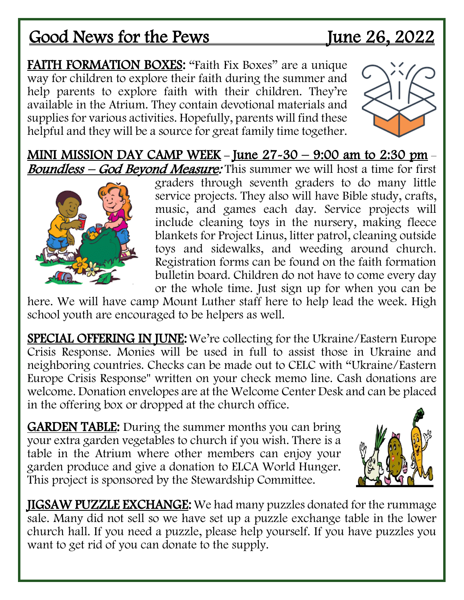## Good News for the Pews June 26, 2022

FAITH FORMATION BOXES: "Faith Fix Boxes" are a unique way for children to explore their faith during the summer and help parents to explore faith with their children. They're available in the Atrium. They contain devotional materials and supplies for various activities. Hopefully, parents will find these helpful and they will be a source for great family time together.



MINI MISSION DAY CAMP WEEK – June  $27-30 - 9:00$  am to 2:30 pm – **Boundless – God Beyond Measure:** This summer we will host a time for first



graders through seventh graders to do many little service projects. They also will have Bible study, crafts, music, and games each day. Service projects will include cleaning toys in the nursery, making fleece blankets for Project Linus, litter patrol, cleaning outside toys and sidewalks, and weeding around church. Registration forms can be found on the faith formation bulletin board. Children do not have to come every day or the whole time. Just sign up for when you can be

here. We will have camp Mount Luther staff here to help lead the week. High school youth are encouraged to be helpers as well.

SPECIAL OFFERING IN JUNE: We're collecting for the Ukraine/Eastern Europe Crisis Response. Monies will be used in full to assist those in Ukraine and neighboring countries. Checks can be made out to CELC with "Ukraine/Eastern Europe Crisis Response" written on your check memo line. Cash donations are welcome. Donation envelopes are at the Welcome Center Desk and can be placed in the offering box or dropped at the church office.

GARDEN TABLE: During the summer months you can bring your extra garden vegetables to church if you wish. There is a table in the Atrium where other members can enjoy your garden produce and give a donation to ELCA World Hunger. This project is sponsored by the Stewardship Committee.



JIGSAW PUZZLE EXCHANGE: We had many puzzles donated for the rummage sale. Many did not sell so we have set up a puzzle exchange table in the lower church hall. If you need a puzzle, please help yourself. If you have puzzles you want to get rid of you can donate to the supply.